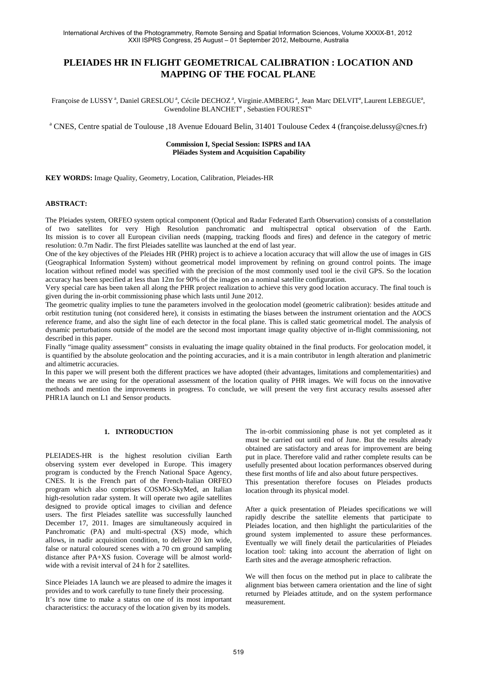# **PLEIADES HR IN FLIGHT GEOMETRICAL CALIBRATION : LOCATION AND MAPPING OF THE FOCAL PLANE**

Françoise de LUSSY<sup>a</sup>, Daniel GRESLOU<sup>a</sup>, Cécile DECHOZ<sup>a</sup>, Virginie.AMBERG<sup>a</sup>, Jean Marc DELVIT<sup>a</sup>, Laurent LEBEGUE<sup>a</sup>, Gwendoline BLANCHET<sup>a</sup>, Sebastien FOUREST<sup>a,</sup>

<sup>a</sup> CNES, Centre spatial de Toulouse ,18 Avenue Edouard Belin, 31401 Toulouse Cedex 4 (françoise.delussy@cnes.fr)

# **Commission I, Special Session: ISPRS and IAA Pléïades System and Acquisition Capability**

**KEY WORDS:** Image Quality, Geometry, Location, Calibration, Pleiades-HR

## **ABSTRACT:**

The Pleiades system, ORFEO system optical component (Optical and Radar Federated Earth Observation) consists of a constellation of two satellites for very High Resolution panchromatic and multispectral optical observation of the Earth. Its mission is to cover all European civilian needs (mapping, tracking floods and fires) and defence in the category of metric resolution: 0.7m Nadir. The first Pleiades satellite was launched at the end of last year.

One of the key objectives of the Pleiades HR (PHR) project is to achieve a location accuracy that will allow the use of images in GIS (Geographical Information System) without geometrical model improvement by refining on ground control points. The image location without refined model was specified with the precision of the most commonly used tool ie the civil GPS. So the location accuracy has been specified at less than 12m for 90% of the images on a nominal satellite configuration.

Very special care has been taken all along the PHR project realization to achieve this very good location accuracy. The final touch is given during the in-orbit commissioning phase which lasts until June 2012.

The geometric quality implies to tune the parameters involved in the geolocation model (geometric calibration): besides attitude and orbit restitution tuning (not considered here), it consists in estimating the biases between the instrument orientation and the AOCS reference frame, and also the sight line of each detector in the focal plane. This is called static geometrical model. The analysis of dynamic perturbations outside of the model are the second most important image quality objective of in-flight commissioning, not described in this paper.

Finally "image quality assessment" consists in evaluating the image quality obtained in the final products. For geolocation model, it is quantified by the absolute geolocation and the pointing accuracies, and it is a main contributor in length alteration and planimetric and altimetric accuracies.

In this paper we will present both the different practices we have adopted (their advantages, limitations and complementarities) and the means we are using for the operational assessment of the location quality of PHR images. We will focus on the innovative methods and mention the improvements in progress. To conclude, we will present the very first accuracy results assessed after PHR1A launch on L1 and Sensor products.

## **1. INTRODUCTION**

PLEIADES-HR is the highest resolution civilian Earth observing system ever developed in Europe. This imagery program is conducted by the French National Space Agency, CNES. It is the French part of the French-Italian ORFEO program which also comprises COSMO-SkyMed, an Italian high-resolution radar system. It will operate two agile satellites designed to provide optical images to civilian and defence users. The first Pleiades satellite was successfully launched December 17, 2011. Images are simultaneously acquired in Panchromatic (PA) and multi-spectral (XS) mode, which allows, in nadir acquisition condition, to deliver 20 km wide, false or natural coloured scenes with a 70 cm ground sampling distance after PA+XS fusion. Coverage will be almost worldwide with a revisit interval of 24 h for 2 satellites.

Since Pleiades 1A launch we are pleased to admire the images it provides and to work carefully to tune finely their processing. It's now time to make a status on one of its most important characteristics: the accuracy of the location given by its models.

The in-orbit commissioning phase is not yet completed as it must be carried out until end of June. But the results already obtained are satisfactory and areas for improvement are being put in place. Therefore valid and rather complete results can be usefully presented about location performances observed during these first months of life and also about future perspectives.

This presentation therefore focuses on Pleiades products location through its physical model.

After a quick presentation of Pleiades specifications we will rapidly describe the satellite elements that participate to Pleiades location, and then highlight the particularities of the ground system implemented to assure these performances. Eventually we will finely detail the particularities of Pleiades location tool: taking into account the aberration of light on Earth sites and the average atmospheric refraction.

We will then focus on the method put in place to calibrate the alignment bias between camera orientation and the line of sight returned by Pleiades attitude, and on the system performance measurement.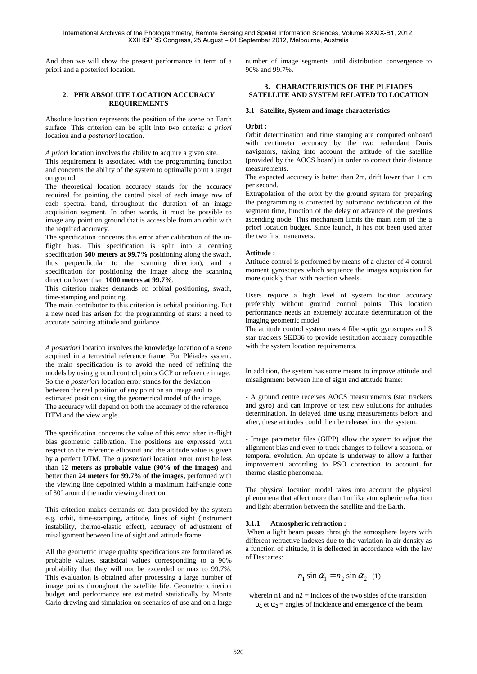And then we will show the present performance in term of a priori and a posteriori location.

## **2. PHR ABSOLUTE LOCATION ACCURACY REQUIREMENTS**

Absolute location represents the position of the scene on Earth surface. This criterion can be split into two criteria: *a priori* location and *a posteriori* location.

*A priori* location involves the ability to acquire a given site.

This requirement is associated with the programming function and concerns the ability of the system to optimally point a target on ground.

The theoretical location accuracy stands for the accuracy required for pointing the central pixel of each image row of each spectral band, throughout the duration of an image acquisition segment. In other words, it must be possible to image any point on ground that is accessible from an orbit with the required accuracy.

The specification concerns this error after calibration of the inflight bias. This specification is split into a centring specification **500 meters at 99.7%** positioning along the swath, thus perpendicular to the scanning direction), and a specification for positioning the image along the scanning direction lower than **1000 metres at 99.7%**.

This criterion makes demands on orbital positioning, swath, time-stamping and pointing.

The main contributor to this criterion is orbital positioning. But a new need has arisen for the programming of stars: a need to accurate pointing attitude and guidance.

*A posteriori* location involves the knowledge location of a scene acquired in a terrestrial reference frame. For Pléiades system, the main specification is to avoid the need of refining the models by using ground control points GCP or reference image. So the *a posteriori* location error stands for the deviation between the real position of any point on an image and its estimated position using the geometrical model of the image. The accuracy will depend on both the accuracy of the reference DTM and the view angle.

The specification concerns the value of this error after in-flight bias geometric calibration. The positions are expressed with respect to the reference ellipsoid and the altitude value is given by a perfect DTM. The *a posteriori* location error must be less than **12 meters as probable value (90% of the images)** and better than **24 meters for 99.7% of the images,** performed with the viewing line depointed within a maximum half-angle cone of 30° around the nadir viewing direction.

This criterion makes demands on data provided by the system e.g. orbit, time-stamping, attitude, lines of sight (instrument instability, thermo-elastic effect), accuracy of adjustment of misalignment between line of sight and attitude frame.

All the geometric image quality specifications are formulated as probable values, statistical values corresponding to a 90% probability that they will not be exceeded or max to 99.7%. This evaluation is obtained after processing a large number of image points throughout the satellite life. Geometric criterion budget and performance are estimated statistically by Monte Carlo drawing and simulation on scenarios of use and on a large

number of image segments until distribution convergence to 90% and 99.7%.

## **3. CHARACTERISTICS OF THE PLEIADES SATELLITE AND SYSTEM RELATED TO LOCATION**

## **3.1 Satellite, System and image characteristics**

## **Orbit :**

Orbit determination and time stamping are computed onboard with centimeter accuracy by the two redundant Doris navigators, taking into account the attitude of the satellite (provided by the AOCS board) in order to correct their distance measurements.

The expected accuracy is better than 2m, drift lower than 1 cm per second.

Extrapolation of the orbit by the ground system for preparing the programming is corrected by automatic rectification of the segment time, function of the delay or advance of the previous ascending node. This mechanism limits the main item of the a priori location budget. Since launch, it has not been used after the two first maneuvers.

## **Attitude :**

Attitude control is performed by means of a cluster of 4 control moment gyroscopes which sequence the images acquisition far more quickly than with reaction wheels.

Users require a high level of system location accuracy preferably without ground control points. This location performance needs an extremely accurate determination of the imaging geometric model

The attitude control system uses 4 fiber-optic gyroscopes and 3 star trackers SED36 to provide restitution accuracy compatible with the system location requirements.

In addition, the system has some means to improve attitude and misalignment between line of sight and attitude frame:

- A ground centre receives AOCS measurements (star trackers and gyro) and can improve or test new solutions for attitudes determination. In delayed time using measurements before and after, these attitudes could then be released into the system.

- Image parameter files (GIPP) allow the system to adjust the alignment bias and even to track changes to follow a seasonal or temporal evolution. An update is underway to allow a further improvement according to PSO correction to account for thermo elastic phenomena.

The physical location model takes into account the physical phenomena that affect more than 1m like atmospheric refraction and light aberration between the satellite and the Earth.

## **3.1.1 Atmospheric refraction :**

 When a light beam passes through the atmosphere layers with different refractive indexes due to the variation in air density as a function of altitude, it is deflected in accordance with the law of Descartes:

$$
n_1 \sin \alpha_1 = n_2 \sin \alpha_2 \quad (1)
$$

wherein n1 and  $n2$  = indices of the two sides of the transition,  $\alpha_1$  et  $\alpha_2$  = angles of incidence and emergence of the beam.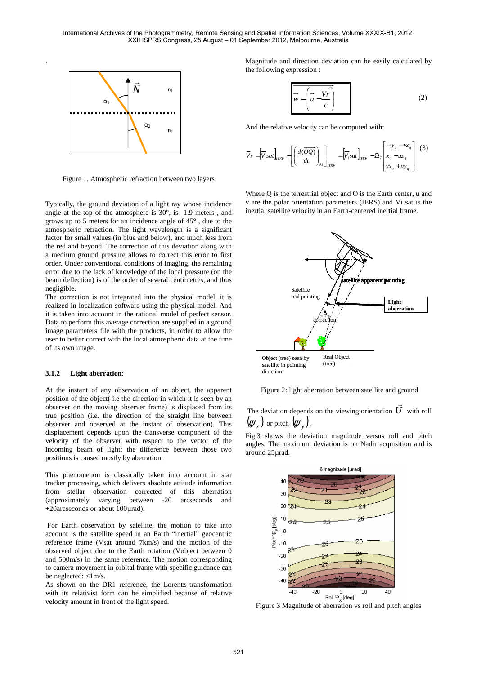

.

Figure 1. Atmospheric refraction between two layers

Typically, the ground deviation of a light ray whose incidence angle at the top of the atmosphere is 30°, is 1.9 meters , and grows up to 5 meters for an incidence angle of 45° , due to the atmospheric refraction. The light wavelength is a significant factor for small values (in blue and below), and much less from the red and beyond. The correction of this deviation along with a medium ground pressure allows to correct this error to first order. Under conventional conditions of imaging, the remaining error due to the lack of knowledge of the local pressure (on the beam deflection) is of the order of several centimetres, and thus negligible.

The correction is not integrated into the physical model, it is realized in localization software using the physical model. And it is taken into account in the rational model of perfect sensor. Data to perform this average correction are supplied in a ground image parameters file with the products, in order to allow the user to better correct with the local atmospheric data at the time of its own image.

#### **3.1.2 Light aberration**:

At the instant of any observation of an object, the apparent position of the object( i.e the direction in which it is seen by an observer on the moving observer frame) is displaced from its true position (i.e. the direction of the straight line between observer and observed at the instant of observation). This displacement depends upon the transverse component of the velocity of the observer with respect to the vector of the incoming beam of light: the difference between those two positions is caused mostly by aberration.

This phenomenon is classically taken into account in star tracker processing, which delivers absolute attitude information from stellar observation corrected of this aberration (approximately varying between -20 arcseconds and +20arcseconds or about 100µrad).

 For Earth observation by satellite, the motion to take into account is the satellite speed in an Earth "inertial" geocentric reference frame (Vsat around 7km/s) and the motion of the observed object due to the Earth rotation (Vobject between 0 and 500m/s) in the same reference. The motion corresponding to camera movement in orbital frame with specific guidance can be neglected: <1m/s.

As shown on the DR1 reference, the Lorentz transformation with its relativist form can be simplified because of relative velocity amount in front of the light speed.

Magnitude and direction deviation can be easily calculated by the following expression :

$$
\overrightarrow{w} = \left(\overrightarrow{u} - \frac{\overrightarrow{Vr}}{c}\right) \tag{2}
$$

And the relative velocity can be computed with:

$$
\vec{V}r = \left[\vec{V}_i sat\right]_{TRF} - \left[\left(\frac{d(\overrightarrow{OQ})}{dt}\right)_{Ri}\right]_{TRF} = \left[\vec{V}_i sat\right]_{TRF} - \Omega_r \left[\begin{matrix} -y_q - vz_q \\ x_q - uz_q \\ vx_q + uy_q \end{matrix}\right] (3)
$$

Where Q is the terrestrial object and Q is the Earth center, u and v are the polar orientation parameters (IERS) and Vi sat is the inertial satellite velocity in an Earth-centered inertial frame.



Figure 2: light aberration between satellite and ground

 $\rightarrow$ 

The deviation depends on the viewing orientation  $U$  with roll  $(\psi_x)$  or pitch  $(\psi_y)$ .

Fig.3 shows the deviation magnitude versus roll and pitch angles. The maximum deviation is on Nadir acquisition and is around 25µrad.



Figure 3 Magnitude of aberration vs roll and pitch angles